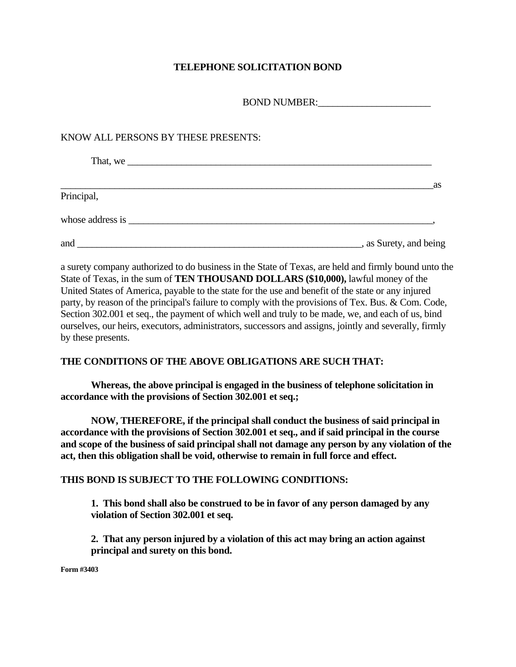## **TELEPHONE SOLICITATION BOND**

BOND NUMBER:

## KNOW ALL PERSONS BY THESE PRESENTS:

| That, we   |                        |
|------------|------------------------|
|            | as                     |
| Principal, |                        |
|            |                        |
| and        | , as Surety, and being |

a surety company authorized to do business in the State of Texas, are held and firmly bound unto the State of Texas, in the sum of **TEN THOUSAND DOLLARS (\$10,000),** lawful money of the United States of America, payable to the state for the use and benefit of the state or any injured party, by reason of the principal's failure to comply with the provisions of Tex. Bus. & Com. Code, Section 302.001 et seq., the payment of which well and truly to be made, we, and each of us, bind ourselves, our heirs, executors, administrators, successors and assigns, jointly and severally, firmly by these presents.

## **THE CONDITIONS OF THE ABOVE OBLIGATIONS ARE SUCH THAT:**

**Whereas, the above principal is engaged in the business of telephone solicitation in accordance with the provisions of Section 302.001 et seq.;** 

**NOW, THEREFORE, if the principal shall conduct the business of said principal in accordance with the provisions of Section 302.001 et seq., and if said principal in the course and scope of the business of said principal shall not damage any person by any violation of the act, then this obligation shall be void, otherwise to remain in full force and effect.** 

## **THIS BOND IS SUBJECT TO THE FOLLOWING CONDITIONS:**

**1. This bond shall also be construed to be in favor of any person damaged by any violation of Section 302.001 et seq.** 

**2. That any person injured by a violation of this act may bring an action against principal and surety on this bond.** 

**Form #3403**